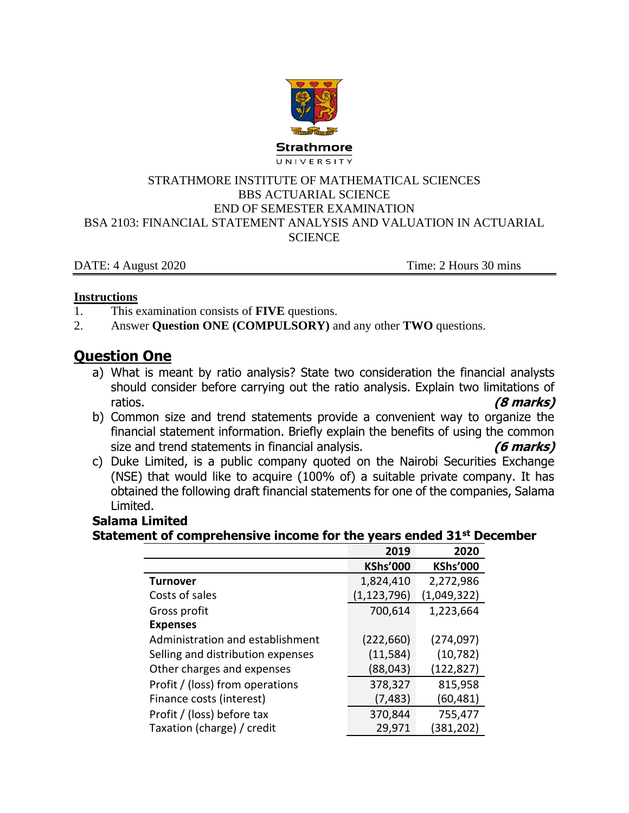

#### STRATHMORE INSTITUTE OF MATHEMATICAL SCIENCES BBS ACTUARIAL SCIENCE END OF SEMESTER EXAMINATION BSA 2103: FINANCIAL STATEMENT ANALYSIS AND VALUATION IN ACTUARIAL **SCIENCE**

DATE: 4 August 2020 Time: 2 Hours 30 mins

#### **Instructions**

- 1. This examination consists of **FIVE** questions.
- 2. Answer **Question ONE (COMPULSORY)** and any other **TWO** questions.

# **Question One**

- a) What is meant by ratio analysis? State two consideration the financial analysts should consider before carrying out the ratio analysis. Explain two limitations of ratios. **(8 marks)**
- b) Common size and trend statements provide a convenient way to organize the financial statement information. Briefly explain the benefits of using the common size and trend statements in financial analysis. **(6 marks)**
- c) Duke Limited, is a public company quoted on the Nairobi Securities Exchange (NSE) that would like to acquire (100% of) a suitable private company. It has obtained the following draft financial statements for one of the companies, Salama Limited.

## **Salama Limited**

### **Statement of comprehensive income for the years ended 31st December**

|                                   | 2019            | 2020            |
|-----------------------------------|-----------------|-----------------|
|                                   | <b>KShs'000</b> | <b>KShs'000</b> |
| <b>Turnover</b>                   | 1,824,410       | 2,272,986       |
| Costs of sales                    | (1,123,796)     | (1,049,322)     |
| Gross profit                      | 700,614         | 1,223,664       |
| <b>Expenses</b>                   |                 |                 |
| Administration and establishment  | (222, 660)      | (274, 097)      |
| Selling and distribution expenses | (11, 584)       | (10, 782)       |
| Other charges and expenses        | (88, 043)       | (122, 827)      |
| Profit / (loss) from operations   | 378,327         | 815,958         |
| Finance costs (interest)          | (7, 483)        | (60,481)        |
| Profit / (loss) before tax        | 370,844         | 755,477         |
| Taxation (charge) / credit        | 29,971          | (381, 202)      |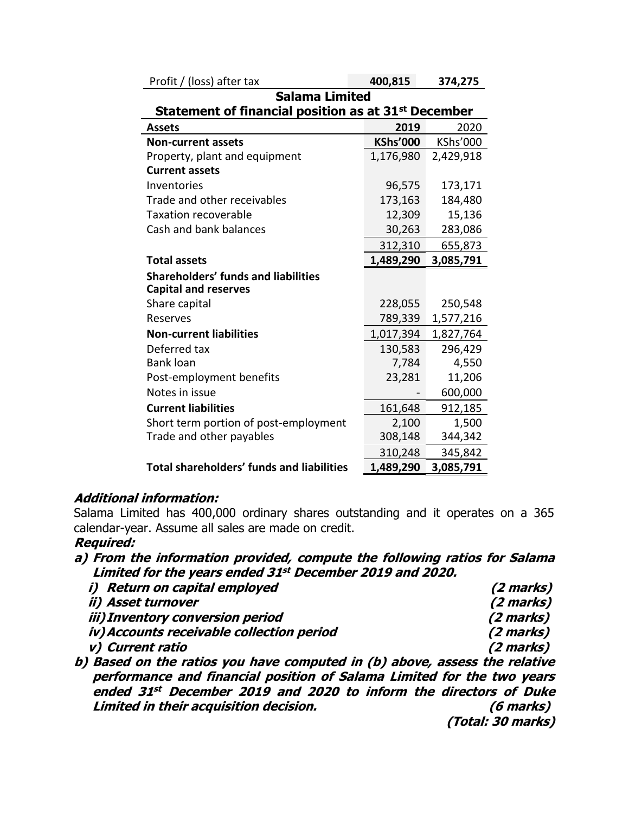| <b>Salama Limited</b>                                           |                 |           |  |  |  |
|-----------------------------------------------------------------|-----------------|-----------|--|--|--|
| Statement of financial position as at 31 <sup>st</sup> December |                 |           |  |  |  |
| <b>Assets</b>                                                   | 2019            | 2020      |  |  |  |
| <b>Non-current assets</b>                                       | <b>KShs'000</b> | KShs'000  |  |  |  |
| Property, plant and equipment                                   | 1,176,980       | 2,429,918 |  |  |  |
| <b>Current assets</b>                                           |                 |           |  |  |  |
| Inventories                                                     | 96,575          | 173,171   |  |  |  |
| Trade and other receivables                                     | 173,163         | 184,480   |  |  |  |
| Taxation recoverable                                            | 12,309          | 15,136    |  |  |  |
| Cash and bank balances                                          | 30,263          | 283,086   |  |  |  |
|                                                                 | 312,310         | 655,873   |  |  |  |
| <b>Total assets</b>                                             | 1,489,290       | 3,085,791 |  |  |  |
| <b>Shareholders' funds and liabilities</b>                      |                 |           |  |  |  |
| <b>Capital and reserves</b>                                     |                 |           |  |  |  |
| Share capital                                                   | 228,055         | 250,548   |  |  |  |
| Reserves                                                        | 789,339         | 1,577,216 |  |  |  |
| <b>Non-current liabilities</b>                                  | 1,017,394       | 1,827,764 |  |  |  |
| Deferred tax                                                    | 130,583         | 296,429   |  |  |  |
| <b>Bank loan</b>                                                | 7,784           | 4,550     |  |  |  |
| Post-employment benefits                                        | 23,281          | 11,206    |  |  |  |
| Notes in issue                                                  |                 | 600,000   |  |  |  |
| <b>Current liabilities</b>                                      | 161,648         | 912,185   |  |  |  |
| Short term portion of post-employment                           | 2,100           | 1,500     |  |  |  |
| Trade and other payables                                        | 308,148         | 344,342   |  |  |  |
|                                                                 | 310,248         | 345,842   |  |  |  |
| <b>Total shareholders' funds and liabilities</b>                | 1,489,290       | 3,085,791 |  |  |  |

Profit / (loss) after tax **400,815 374,275**

#### **Additional information:**

Salama Limited has 400,000 ordinary shares outstanding and it operates on a 365 calendar-year. Assume all sales are made on credit.

#### **Required:**

### **a) From the information provided, compute the following ratios for Salama Limited for the years ended 31 st December 2019 and 2020.**

| <i>i) Return on capital employed</i>      | (2 marks) |
|-------------------------------------------|-----------|
| ii) Asset turnover                        | (2 marks) |
| <i>iii) Inventory conversion period</i>   | (2 marks) |
| iv) Accounts receivable collection period | (2 marks) |
| v) Current ratio                          | (2 marks) |
|                                           |           |

**b) Based on the ratios you have computed in (b) above, assess the relative performance and financial position of Salama Limited for the two years ended 31 st December 2019 and 2020 to inform the directors of Duke Limited in their acquisition decision. (6 marks) (Total: 30 marks)**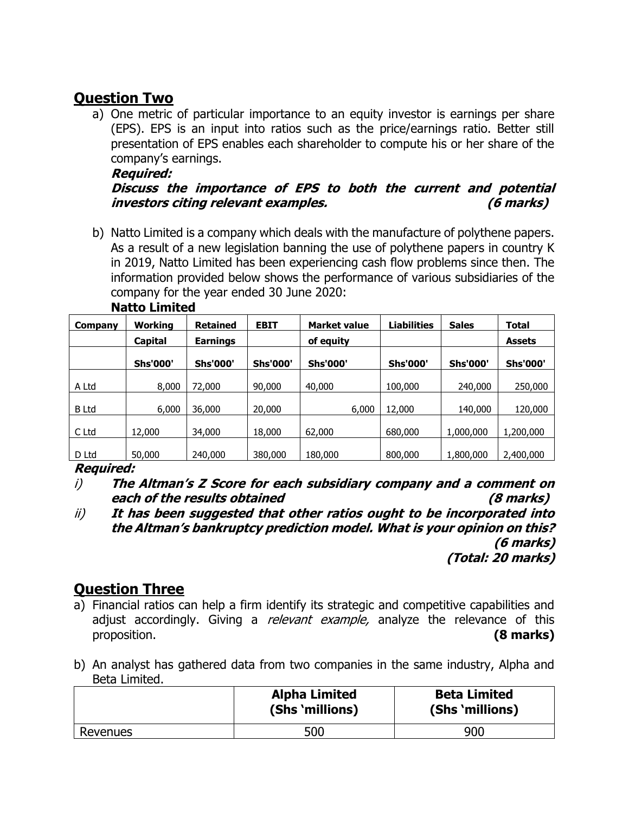# **Question Two**

a) One metric of particular importance to an equity investor is earnings per share (EPS). EPS is an input into ratios such as the price/earnings ratio. Better still presentation of EPS enables each shareholder to compute his or her share of the company's earnings.

#### **Required:**

## **Discuss the importance of EPS to both the current and potential investors citing relevant examples. (6 marks)**

b) Natto Limited is a company which deals with the manufacture of polythene papers. As a result of a new legislation banning the use of polythene papers in country K in 2019, Natto Limited has been experiencing cash flow problems since then. The information provided below shows the performance of various subsidiaries of the company for the year ended 30 June 2020:

| Company      | Workina         | <b>Retained</b> | <b>EBIT</b>     | <b>Market value</b> | <b>Liabilities</b> | <b>Sales</b>    | Total           |
|--------------|-----------------|-----------------|-----------------|---------------------|--------------------|-----------------|-----------------|
|              | <b>Capital</b>  | <b>Earnings</b> |                 | of equity           |                    |                 | <b>Assets</b>   |
|              | <b>Shs'000'</b> | <b>Shs'000'</b> | <b>Shs'000'</b> | <b>Shs'000'</b>     | <b>Shs'000'</b>    | <b>Shs'000'</b> | <b>Shs'000'</b> |
| A Ltd        | 8,000           | 72,000          | 90,000          | 40,000              | 100,000            | 240,000         | 250,000         |
| <b>B</b> Ltd | 6,000           | 36,000          | 20,000          | 6,000               | 12,000             | 140,000         | 120,000         |
| C Ltd        | 12,000          | 34,000          | 18,000          | 62,000              | 680,000            | 1,000,000       | 1,200,000       |
| D Ltd        | 50,000          | 240,000         | 380,000         | 180,000             | 800,000            | 1,800,000       | 2,400,000       |

### **Natto Limited**

### **Required:**

- i) **The Altman's Z Score for each subsidiary company and a comment on each of the results obtained (8 marks)**
- ii) **It has been suggested that other ratios ought to be incorporated into the Altman's bankruptcy prediction model. What is your opinion on this? (6 marks)**

**(Total: 20 marks)**

## **Question Three**

- a) Financial ratios can help a firm identify its strategic and competitive capabilities and adjust accordingly. Giving a *relevant example*, analyze the relevance of this proposition. **(8 marks)**
- b) An analyst has gathered data from two companies in the same industry, Alpha and Beta Limited.

|          | <b>Alpha Limited</b><br>(Shs 'millions) | <b>Beta Limited</b><br>(Shs 'millions) |
|----------|-----------------------------------------|----------------------------------------|
| Revenues | 500                                     | 900                                    |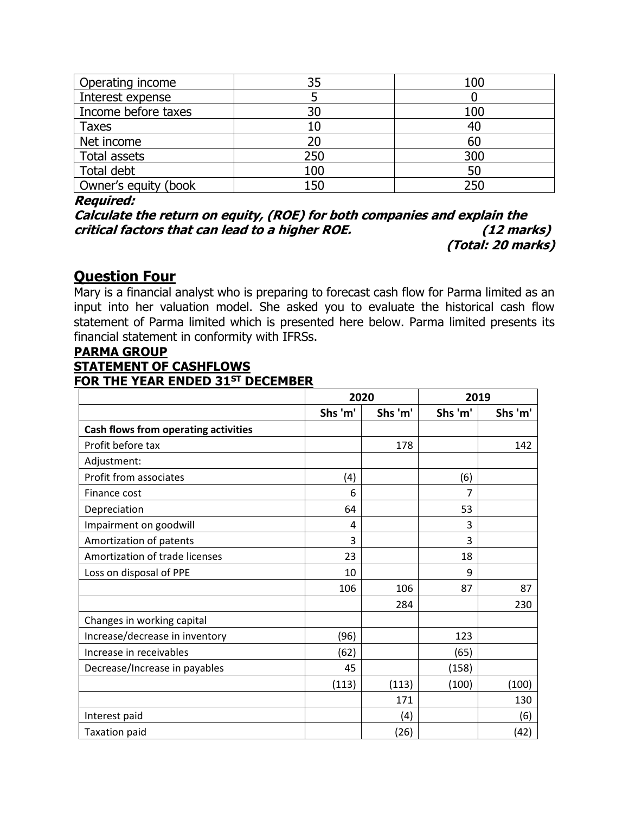| Operating income     | 35  | 100 |
|----------------------|-----|-----|
| Interest expense     |     |     |
| Income before taxes  | 30  | 100 |
| <b>Taxes</b>         |     | 40  |
| Net income           |     | 60  |
| Total assets         | 250 | 300 |
| Total debt           | 100 | 50  |
| Owner's equity (book | 150 | 250 |

Required:

**Calculate the return on equity, (ROE) for both companies and explain the critical factors that can lead to a higher ROE. (12 marks) (Total: 20 marks)**

## **Question Four**

Mary is a financial analyst who is preparing to forecast cash flow for Parma limited as an input into her valuation model. She asked you to evaluate the historical cash flow statement of Parma limited which is presented here below. Parma limited presents its financial statement in conformity with IFRSs.

### **PARMA GROUP STATEMENT OF CASHFLOWS FOR THE YEAR ENDED 31ST DECEMBER**

|                                      |         | 2020    |         | 2019    |  |
|--------------------------------------|---------|---------|---------|---------|--|
|                                      | Shs 'm' | Shs 'm' | Shs 'm' | Shs 'm' |  |
| Cash flows from operating activities |         |         |         |         |  |
| Profit before tax                    |         | 178     |         | 142     |  |
| Adjustment:                          |         |         |         |         |  |
| Profit from associates               | (4)     |         | (6)     |         |  |
| Finance cost                         | 6       |         | 7       |         |  |
| Depreciation                         | 64      |         | 53      |         |  |
| Impairment on goodwill               | 4       |         | 3       |         |  |
| Amortization of patents              | 3       |         | 3       |         |  |
| Amortization of trade licenses       | 23      |         | 18      |         |  |
| Loss on disposal of PPE              | 10      |         | 9       |         |  |
|                                      | 106     | 106     | 87      | 87      |  |
|                                      |         | 284     |         | 230     |  |
| Changes in working capital           |         |         |         |         |  |
| Increase/decrease in inventory       | (96)    |         | 123     |         |  |
| Increase in receivables              | (62)    |         | (65)    |         |  |
| Decrease/Increase in payables        | 45      |         | (158)   |         |  |
|                                      | (113)   | (113)   | (100)   | (100)   |  |
|                                      |         | 171     |         | 130     |  |
| Interest paid                        |         | (4)     |         | (6)     |  |
| <b>Taxation paid</b>                 |         | (26)    |         | (42)    |  |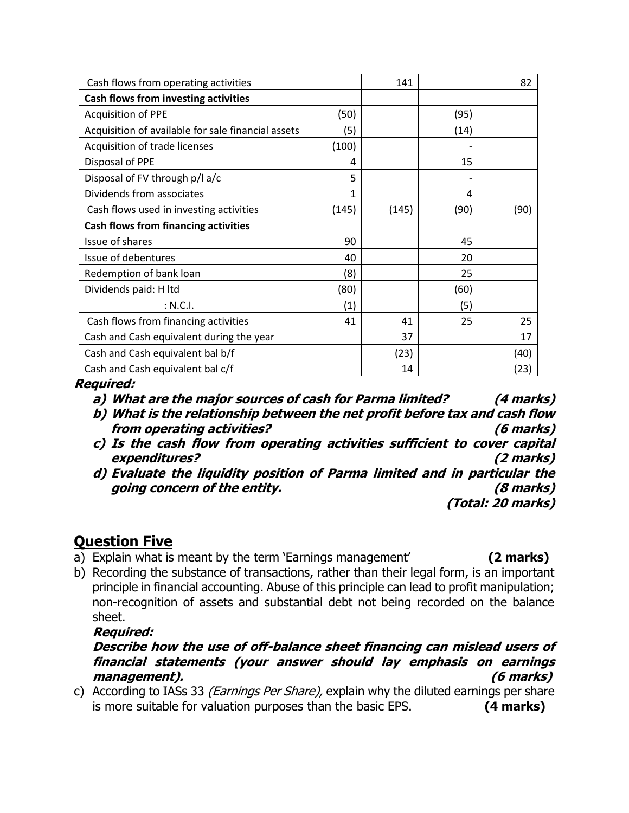| Cash flows from operating activities               |              | 141   |      | 82   |
|----------------------------------------------------|--------------|-------|------|------|
| Cash flows from investing activities               |              |       |      |      |
| <b>Acquisition of PPE</b>                          | (50)         |       | (95) |      |
| Acquisition of available for sale financial assets | (5)          |       | (14) |      |
| Acquisition of trade licenses                      | (100)        |       |      |      |
| Disposal of PPE                                    | 4            |       | 15   |      |
| Disposal of FV through p/l a/c                     | 5            |       |      |      |
| Dividends from associates                          | $\mathbf{1}$ |       | 4    |      |
| Cash flows used in investing activities            | (145)        | (145) | (90) | (90) |
| <b>Cash flows from financing activities</b>        |              |       |      |      |
| Issue of shares                                    | 90           |       | 45   |      |
| Issue of debentures                                | 40           |       | 20   |      |
| Redemption of bank loan                            | (8)          |       | 25   |      |
| Dividends paid: H ltd                              | (80)         |       | (60) |      |
| : N.C.I.                                           | (1)          |       | (5)  |      |
| Cash flows from financing activities               | 41           | 41    | 25   | 25   |
| Cash and Cash equivalent during the year           |              | 37    |      | 17   |
| Cash and Cash equivalent bal b/f                   |              | (23)  |      | (40) |
| Cash and Cash equivalent bal c/f                   |              | 14    |      | (23) |

**Required:**

- **a) What are the major sources of cash for Parma limited? (4 marks)**
- **b) What is the relationship between the net profit before tax and cash flow from operating activities? (6 marks)**
- **c) Is the cash flow from operating activities sufficient to cover capital expenditures? (2 marks)**
- **d) Evaluate the liquidity position of Parma limited and in particular the going concern of the entity. (8 marks)**

 **(Total: 20 marks)**

## **Question Five**

- a) Explain what is meant by the term 'Earnings management' **(2 marks)**
	-
- b) Recording the substance of transactions, rather than their legal form, is an important principle in financial accounting. Abuse of this principle can lead to profit manipulation; non-recognition of assets and substantial debt not being recorded on the balance sheet.

### **Required:**

### **Describe how the use of off-balance sheet financing can mislead users of financial statements (your answer should lay emphasis on earnings management). (6 marks)**

c) According to IASs 33 (*Earnings Per Share*), explain why the diluted earnings per share is more suitable for valuation purposes than the basic EPS. **(4 marks)**